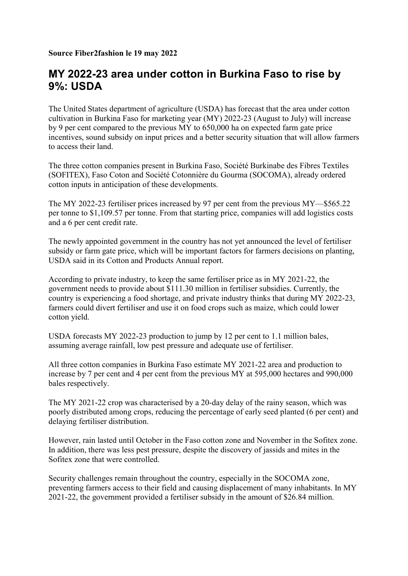## MY 2022-23 area under cotton in Burkina Faso to rise by 9%: USDA

The United States department of agriculture (USDA) has forecast that the area under cotton cultivation in Burkina Faso for marketing year (MY) 2022-23 (August to July) will increase by 9 per cent compared to the previous MY to 650,000 ha on expected farm gate price incentives, sound subsidy on input prices and a better security situation that will allow farmers to access their land.

The three cotton companies present in Burkina Faso, Société Burkinabe des Fibres Textiles (SOFITEX), Faso Coton and Société Cotonnière du Gourma (SOCOMA), already ordered cotton inputs in anticipation of these developments.

The MY 2022-23 fertiliser prices increased by 97 per cent from the previous MY—\$565.22 per tonne to \$1,109.57 per tonne. From that starting price, companies will add logistics costs and a 6 per cent credit rate.

The newly appointed government in the country has not yet announced the level of fertiliser subsidy or farm gate price, which will be important factors for farmers decisions on planting, USDA said in its Cotton and Products Annual report.

According to private industry, to keep the same fertiliser price as in MY 2021-22, the government needs to provide about \$111.30 million in fertiliser subsidies. Currently, the country is experiencing a food shortage, and private industry thinks that during MY 2022-23, farmers could divert fertiliser and use it on food crops such as maize, which could lower cotton yield.

USDA forecasts MY 2022-23 production to jump by 12 per cent to 1.1 million bales, assuming average rainfall, low pest pressure and adequate use of fertiliser.

All three cotton companies in Burkina Faso estimate MY 2021-22 area and production to increase by 7 per cent and 4 per cent from the previous MY at 595,000 hectares and 990,000 bales respectively.

The MY 2021-22 crop was characterised by a 20-day delay of the rainy season, which was poorly distributed among crops, reducing the percentage of early seed planted (6 per cent) and delaying fertiliser distribution.

However, rain lasted until October in the Faso cotton zone and November in the Sofitex zone. In addition, there was less pest pressure, despite the discovery of jassids and mites in the Sofitex zone that were controlled.

Security challenges remain throughout the country, especially in the SOCOMA zone, preventing farmers access to their field and causing displacement of many inhabitants. In MY 2021-22, the government provided a fertiliser subsidy in the amount of \$26.84 million.